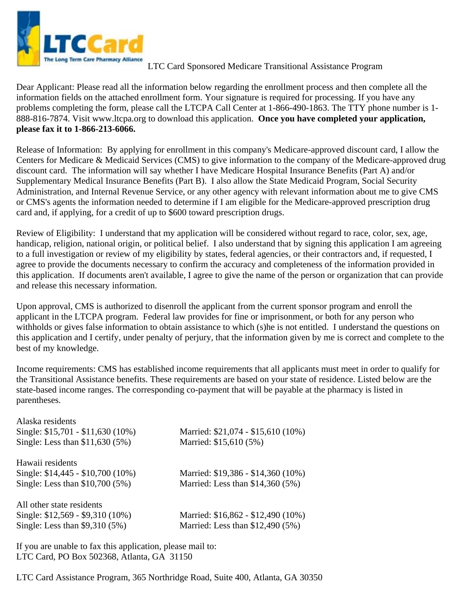

## LTC Card Sponsored Medicare Transitional Assistance Program

Dear Applicant: Please read all the information below regarding the enrollment process and then complete all the information fields on the attached enrollment form. Your signature is required for processing. If you have any problems completing the form, please call the LTCPA Call Center at 1-866-490-1863. The TTY phone number is 1- 888-816-7874. Visit www.ltcpa.org to download this application. **Once you have completed your application, please fax it to 1-866-213-6066.** 

Release of Information: By applying for enrollment in this company's Medicare-approved discount card, I allow the Centers for Medicare & Medicaid Services (CMS) to give information to the company of the Medicare-approved drug discount card. The information will say whether I have Medicare Hospital Insurance Benefits (Part A) and/or Supplementary Medical Insurance Benefits (Part B). I also allow the State Medicaid Program, Social Security Administration, and Internal Revenue Service, or any other agency with relevant information about me to give CMS or CMS's agents the information needed to determine if I am eligible for the Medicare-approved prescription drug card and, if applying, for a credit of up to \$600 toward prescription drugs.

Review of Eligibility: I understand that my application will be considered without regard to race, color, sex, age, handicap, religion, national origin, or political belief. I also understand that by signing this application I am agreeing to a full investigation or review of my eligibility by states, federal agencies, or their contractors and, if requested, I agree to provide the documents necessary to confirm the accuracy and completeness of the information provided in this application. If documents aren't available, I agree to give the name of the person or organization that can provide and release this necessary information.

Upon approval, CMS is authorized to disenroll the applicant from the current sponsor program and enroll the applicant in the LTCPA program. Federal law provides for fine or imprisonment, or both for any person who withholds or gives false information to obtain assistance to which (s)he is not entitled. I understand the questions on this application and I certify, under penalty of perjury, that the information given by me is correct and complete to the best of my knowledge.

Income requirements: CMS has established income requirements that all applicants must meet in order to qualify for the Transitional Assistance benefits. These requirements are based on your state of residence. Listed below are the state-based income ranges. The corresponding co-payment that will be payable at the pharmacy is listed in parentheses.

| Married: \$21,074 - \$15,610 (10%) |
|------------------------------------|
| Married: \$15,610 (5%)             |
|                                    |
| Married: \$19,386 - \$14,360 (10%) |
| Married: Less than \$14,360 (5%)   |
|                                    |
| Married: \$16,862 - \$12,490 (10%) |
| Married: Less than \$12,490 (5%)   |
|                                    |

If you are unable to fax this application, please mail to: LTC Card, PO Box 502368, Atlanta, GA 31150

LTC Card Assistance Program, 365 Northridge Road, Suite 400, Atlanta, GA 30350